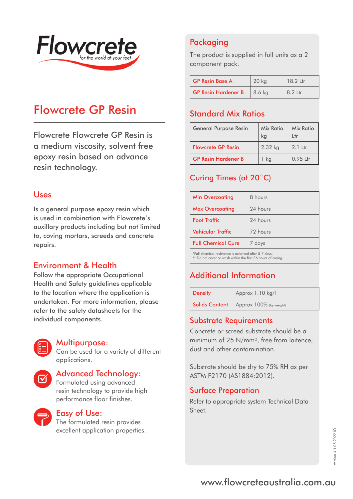

# Flowcrete GP Resin

Flowcrete Flowcrete GP Resin is a medium viscosity, solvent free epoxy resin based on advance resin technology.

## Uses

Is a general purpose epoxy resin which is used in combination with Flowcrete's auxillary products including but not limited to, coving mortars, screeds and concrete repairs.

# Environment & Health

Follow the appropriate Occupational Health and Safety guidelines applicable to the location where the application is undertaken. For more information, please refer to the safety datasheets for the individual components.



### Multipurpose:

Can be used for a variety of different applications.

# Advanced Technology:

Formulated using advanced resin technology to provide high performance floor finishes.



### Easy of Use:

The formulated resin provides excellent application properties.

# Packaging

The product is supplied in full units as a 2 component pack.

| <b>GP Resin Base A</b>     | 20 <sub>kg</sub> | 18.2 Ltr |
|----------------------------|------------------|----------|
| <b>GP Resin Hardener B</b> | 8.6 kg           | 8.2 Ltr  |

# Standard Mix Ratios

| <b>General Purpose Resin</b> | Mix Ratio<br>ka | Mix Ratio<br>Ltr |
|------------------------------|-----------------|------------------|
| <b>Flowcrete GP Resin</b>    | 2.32 kg         | $2.1$ Ltr        |
| <b>GP Resin Hardener B</b>   | ka              | $0.95$ Ltr       |

# Curing Times (at 20˚C)

| <b>Min Overcoating</b>                               | 8 hours  |  |
|------------------------------------------------------|----------|--|
| <b>Max Overcoating</b>                               | 24 hours |  |
| <b>Foot Traffic</b>                                  | 24 hours |  |
| <b>Vehicular Traffic</b>                             | 72 hours |  |
| <b>Full Chemical Cure</b>                            | 7 days   |  |
| *Full chemical resistance is acheived after 5.7 days |          |  |

\*Full chemical resistance is acheived after 5-7 days. \*\* Do not cover or wash within the first 36 hours of curing.

# Additional Information

| <b>Density</b> | Approx 1.10 kg/l                         |
|----------------|------------------------------------------|
|                | Solids Content   Approx 100% (by weight) |

## Substrate Requirements

Concrete or screed substrate should be a minimum of 25 N/mm², free from laitence, dust and other contamination.

Substrate should be dry to 75% RH as per ASTM F2170 (AS1884:2012).

### Surface Preparation

Refer to appropriate system Technical Data Sheet.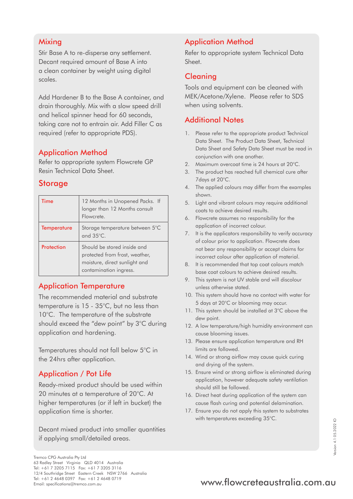## **Mixing**

Stir Base A to re-disperse any settlement. Decant required amount of Base A into a clean container by weight using digital scales.

Add Hardener B to the Base A container, and drain thoroughly. Mix with a slow speed drill and helical spinner head for 60 seconds, taking care not to entrain air. Add Filler C as required (refer to appropriate PDS).

## Application Method

Refer to appropriate system Flowcrete GP Resin Technical Data Sheet.

# **Storage**

| Time               | 12 Months in Unopened Packs. If<br>longer than 12 Months consult<br>Flowcrete.                                           |
|--------------------|--------------------------------------------------------------------------------------------------------------------------|
| <b>Temperature</b> | Storage temperature between 5°C<br>and $35^{\circ}$ C.                                                                   |
| Protection         | Should be stored inside and<br>protected from frost, weather,<br>moisture, direct sunlight and<br>contamination ingress. |

# Application Temperature

The recommended material and substrate temperature is 15 - 35°C, but no less than 10°C. The temperature of the substrate should exceed the "dew point" by 3°C during application and hardening.

Temperatures should not fall below 5°C in the 24hrs after application.

# Application / Pot Life

Ready-mixed product should be used within 20 minutes at a temperature of 20°C. At higher temperatures (or if left in bucket) the application time is shorter.

Decant mixed product into smaller quantities if applying small/detailed areas.

# Application Method

Refer to appropriate system Technical Data Sheet.

# Cleaning

Tools and equipment can be cleaned with MEK/Acetone/Xylene. Please refer to SDS when using solvents.

# Additional Notes

- 1. Please refer to the appropriate product Technical Data Sheet. The Product Data Sheet, Technical Data Sheet and Safety Data Sheet must be read in conjunction with one another.
- 2. Maximum overcoat time is 24 hours at 20°C.
- 3. The product has reached full chemical cure after 7days at 20°C.
- 4. The applied colours may differ from the examples shown.
- 5. Light and vibrant colours may require additional coats to achieve desired results.
- 6. Flowcrete assumes no responsibility for the application of incorrect colour.
- 7. It is the applicators responsibility to verify accuracy of colour prior to application. Flowcrete does not bear any responsibility or accept claims for incorrect colour after application of material.
- 8. It is recommended that top coat colours match base coat colours to achieve desired results.
- 9. This system is not UV stable and will discolour unless otherwise stated.
- 10. This system should have no contact with water for 5 days at 20°C or blooming may occur.
- 11. This system should be installed at 3°C above the dew point.
- 12. A low temperature/high humidity environment can cause blooming issues.
- 13. Please ensure application temperature and RH limits are followed.
- 14. Wind or strong airflow may cause quick curing and drying of the system.
- 15. Ensure wind or strong airflow is eliminated during application, however adequate safety ventilation should still be followed.
- 16. Direct heat during application of the system can cause flash curing and potential delamination.
- 17. Ensure you do not apply this system to substrates with temperatures exceeding 35°C.

# Tel: +61 2 4648 0397 Fax: +61 2 4648 0719<br>Email: specifications@tremco.com.au **www.flowcreteaustralia.com.au**